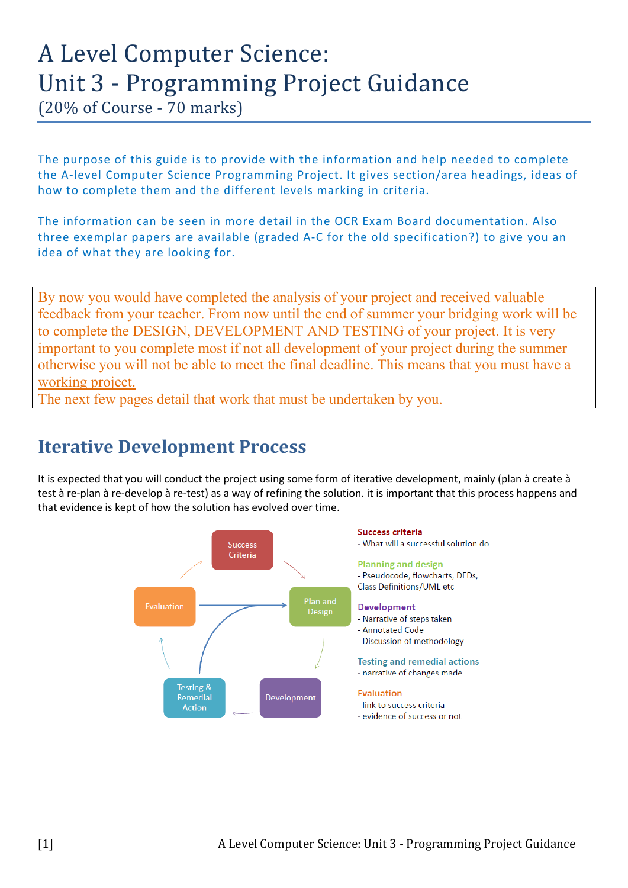# A Level Computer Science: Unit 3 - Programming Project Guidance

(20% of Course - 70 marks)

The purpose of this guide is to provide with the information and help needed to complete the A-level Computer Science Programming Project. It gives section/area headings, ideas of how to complete them and the different levels marking in criteria.

The information can be seen in more detail in the OCR Exam Board documentation. Also three exemplar papers are available (graded A-C for the old specification?) to give you an idea of what they are looking for.

By now you would have completed the analysis of your project and received valuable feedback from your teacher. From now until the end of summer your bridging work will be to complete the DESIGN, DEVELOPMENT AND TESTING of your project. It is very important to you complete most if not all development of your project during the summer otherwise you will not be able to meet the final deadline. This means that you must have a working project.

The next few pages detail that work that must be undertaken by you.

# **Iterative Development Process**

It is expected that you will conduct the project using some form of iterative development, mainly (plan à create à test à re-plan à re-develop à re-test) as a way of refining the solution. it is important that this process happens and that evidence is kept of how the solution has evolved over time.

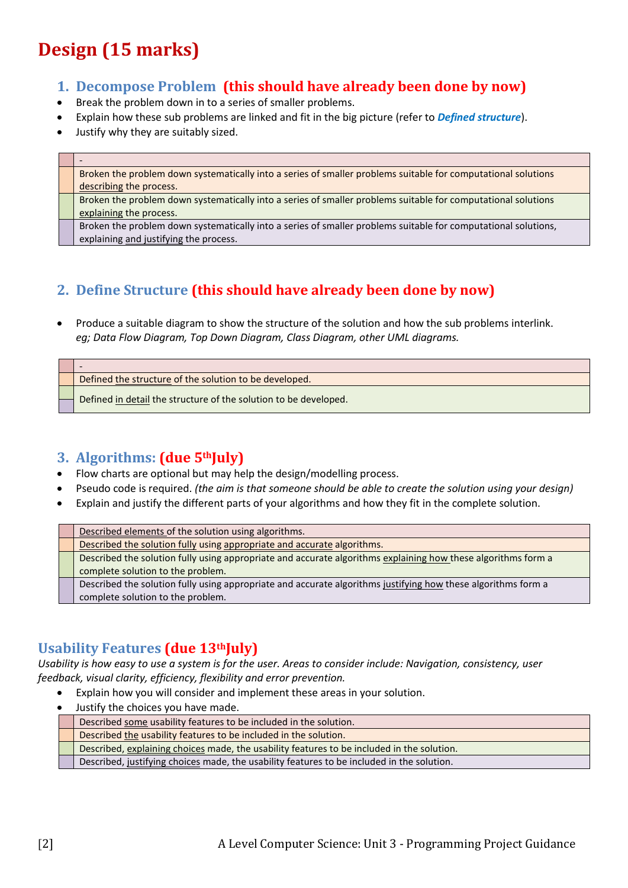# **Design (15 marks)**

# **1. Decompose Problem (this should have already been done by now)**

- Break the problem down in to a series of smaller problems.
- Explain how these sub problems are linked and fit in the big picture (refer to *Defined structure*).
- Justify why they are suitably sized.

- Broken the problem down systematically into a series of smaller problems suitable for computational solutions describing the process. Broken the problem down systematically into a series of smaller problems suitable for computational solutions explaining the process. Broken the problem down systematically into a series of smaller problems suitable for computational solutions, explaining and justifying the process.

# **2. Define Structure (this should have already been done by now)**

• Produce a suitable diagram to show the structure of the solution and how the sub problems interlink. *eg; Data Flow Diagram, Top Down Diagram, Class Diagram, other UML diagrams.* 

- Defined the structure of the solution to be developed.

Defined in detail the structure of the solution to be developed.

# **3. Algorithms: (due 5thJuly)**

- Flow charts are optional but may help the design/modelling process.
- Pseudo code is required. *(the aim is that someone should be able to create the solution using your design)*
- Explain and justify the different parts of your algorithms and how they fit in the complete solution.

|  | Described elements of the solution using algorithms.                                                          |
|--|---------------------------------------------------------------------------------------------------------------|
|  | Described the solution fully using appropriate and accurate algorithms.                                       |
|  | Described the solution fully using appropriate and accurate algorithms explaining how these algorithms form a |
|  | complete solution to the problem.                                                                             |
|  | Described the solution fully using appropriate and accurate algorithms justifying how these algorithms form a |
|  | complete solution to the problem.                                                                             |

# **Usability Features (due 13thJuly)**

*Usability is how easy to use a system is for the user. Areas to consider include: Navigation, consistency, user feedback, visual clarity, efficiency, flexibility and error prevention.*

- Explain how you will consider and implement these areas in your solution.
- Justify the choices you have made.

| Described some usability features to be included in the solution.                          |
|--------------------------------------------------------------------------------------------|
| Described the usability features to be included in the solution.                           |
| Described, explaining choices made, the usability features to be included in the solution. |
| Described, justifying choices made, the usability features to be included in the solution. |
|                                                                                            |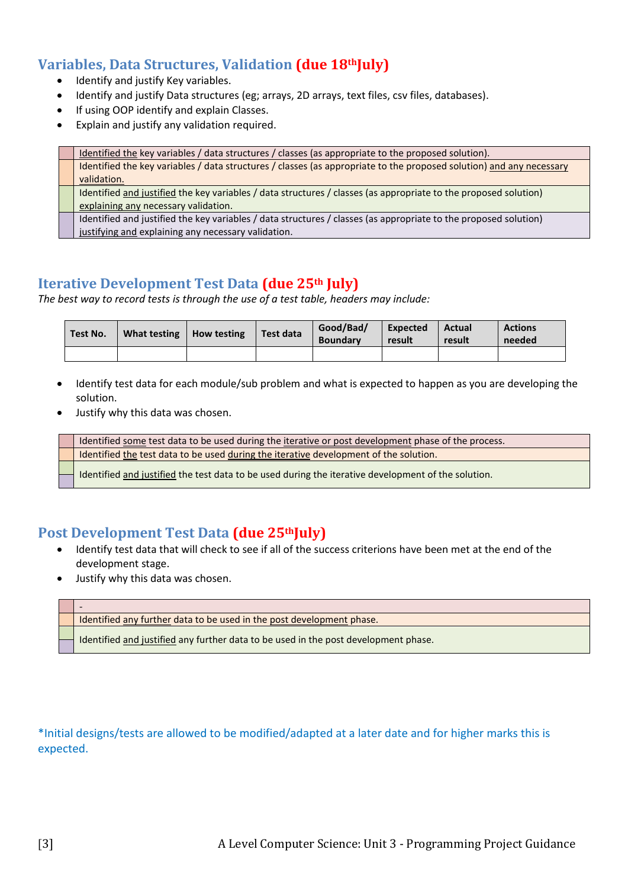# **Variables, Data Structures, Validation (due 18thJuly)**

- Identify and justify Key variables.
- Identify and justify Data structures (eg; arrays, 2D arrays, text files, csv files, databases).
- If using OOP identify and explain Classes.
- Explain and justify any validation required.

Identified the key variables / data structures / classes (as appropriate to the proposed solution). Identified the key variables / data structures / classes (as appropriate to the proposed solution) and any necessary validation. Identified and justified the key variables / data structures / classes (as appropriate to the proposed solution) explaining any necessary validation. Identified and justified the key variables / data structures / classes (as appropriate to the proposed solution) justifying and explaining any necessary validation.

## **Iterative Development Test Data (due 25th July)**

*The best way to record tests is through the use of a test table, headers may include:*

| Test No. | What testing | <b>How testing</b> | Test data | Good/Bad/<br><b>Boundary</b> | Expected<br>result | Actual<br>result | <b>Actions</b><br>needed |
|----------|--------------|--------------------|-----------|------------------------------|--------------------|------------------|--------------------------|
|          |              |                    |           |                              |                    |                  |                          |

- Identify test data for each module/sub problem and what is expected to happen as you are developing the solution.
- Justify why this data was chosen.

Identified some test data to be used during the iterative or post development phase of the process. Identified the test data to be used during the iterative development of the solution.

Identified and justified the test data to be used during the iterative development of the solution.

#### Post Development Test Data *(due 25<sup>th</sup>July)*

- Identify test data that will check to see if all of the success criterions have been met at the end of the development stage.
- Justify why this data was chosen.

-

Identified any further data to be used in the post development phase.

Identified and justified any further data to be used in the post development phase.

\*Initial designs/tests are allowed to be modified/adapted at a later date and for higher marks this is expected.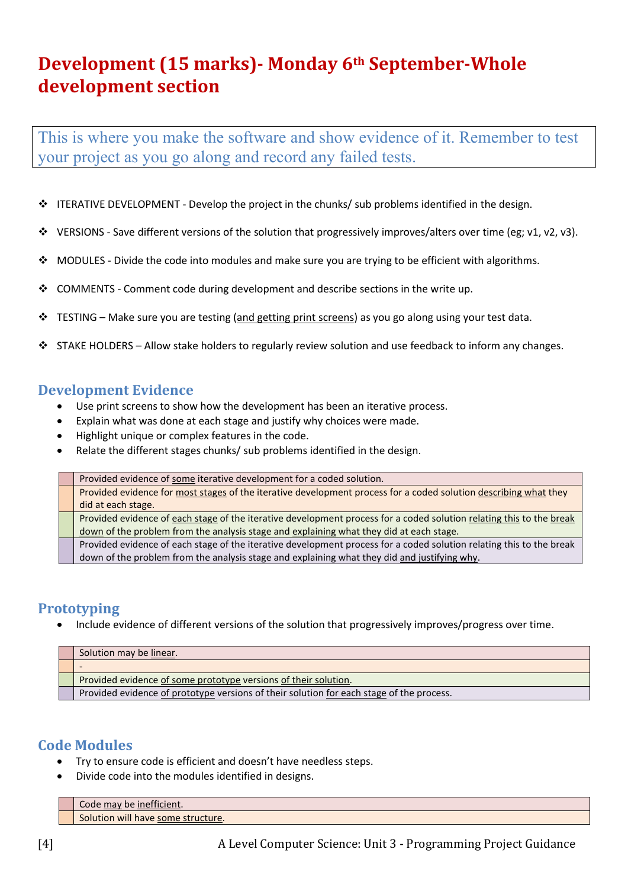# **Development (15 marks)- Monday 6th September-Whole development section**

This is where you make the software and show evidence of it. Remember to test your project as you go along and record any failed tests.

- ITERATIVE DEVELOPMENT Develop the project in the chunks/ sub problems identified in the design.
- VERSIONS Save different versions of the solution that progressively improves/alters over time (eg; v1, v2, v3).
- \* MODULES Divide the code into modules and make sure you are trying to be efficient with algorithms.
- $\div$  COMMENTS Comment code during development and describe sections in the write up.
- \* TESTING Make sure you are testing (and getting print screens) as you go along using your test data.
- $\div$  STAKE HOLDERS Allow stake holders to regularly review solution and use feedback to inform any changes.

#### **Development Evidence**

- Use print screens to show how the development has been an iterative process.
- Explain what was done at each stage and justify why choices were made.
- Highlight unique or complex features in the code.
- Relate the different stages chunks/ sub problems identified in the design.

| Provided evidence of some iterative development for a coded solution.                                                |
|----------------------------------------------------------------------------------------------------------------------|
| Provided evidence for most stages of the iterative development process for a coded solution describing what they     |
| did at each stage.                                                                                                   |
| Provided evidence of each stage of the iterative development process for a coded solution relating this to the break |
| down of the problem from the analysis stage and explaining what they did at each stage.                              |
| Provided evidence of each stage of the iterative development process for a coded solution relating this to the break |
| down of the problem from the analysis stage and explaining what they did and justifying why.                         |

#### **Prototyping**

• Include evidence of different versions of the solution that progressively improves/progress over time.

| Solution may be linear.                                                                  |
|------------------------------------------------------------------------------------------|
|                                                                                          |
| Provided evidence of some prototype versions of their solution.                          |
| Provided evidence of prototype versions of their solution for each stage of the process. |

#### **Code Modules**

- Try to ensure code is efficient and doesn't have needless steps.
- Divide code into the modules identified in designs.

Code may be inefficient. Solution will have some structure.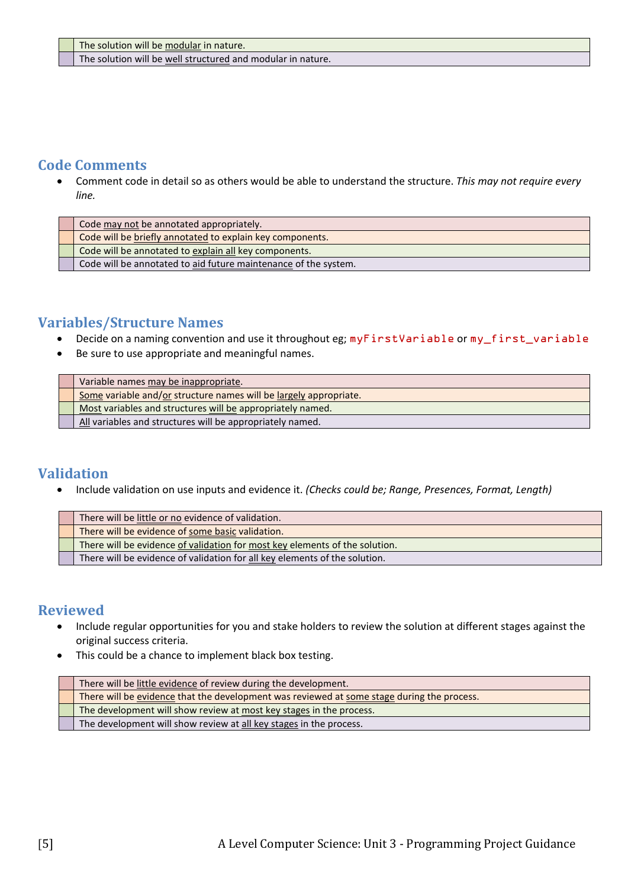The solution will be well structured and modular in nature.

## **Code Comments**

• Comment code in detail so as others would be able to understand the structure. *This may not require every line.*

| Code may not be annotated appropriately.                        |
|-----------------------------------------------------------------|
| Code will be briefly annotated to explain key components.       |
| Code will be annotated to explain all key components.           |
| Code will be annotated to aid future maintenance of the system. |

# **Variables/Structure Names**

- Decide on a naming convention and use it throughout eg; myFirstVariable or my\_first\_variable
- Be sure to use appropriate and meaningful names.

| Variable names may be inappropriate.                              |
|-------------------------------------------------------------------|
| Some variable and/or structure names will be largely appropriate. |
| Most variables and structures will be appropriately named.        |
| All variables and structures will be appropriately named.         |

## **Validation**

• Include validation on use inputs and evidence it. *(Checks could be; Range, Presences, Format, Length)*

| There will be little or no evidence of validation.                          |
|-----------------------------------------------------------------------------|
| There will be evidence of some basic validation.                            |
| There will be evidence of validation for most key elements of the solution. |
| There will be evidence of validation for all key elements of the solution.  |

## **Reviewed**

- Include regular opportunities for you and stake holders to review the solution at different stages against the original success criteria.
- This could be a chance to implement black box testing.

| There will be little evidence of review during the development.                            |
|--------------------------------------------------------------------------------------------|
| There will be evidence that the development was reviewed at some stage during the process. |
| The development will show review at most key stages in the process.                        |
| The development will show review at all key stages in the process.                         |